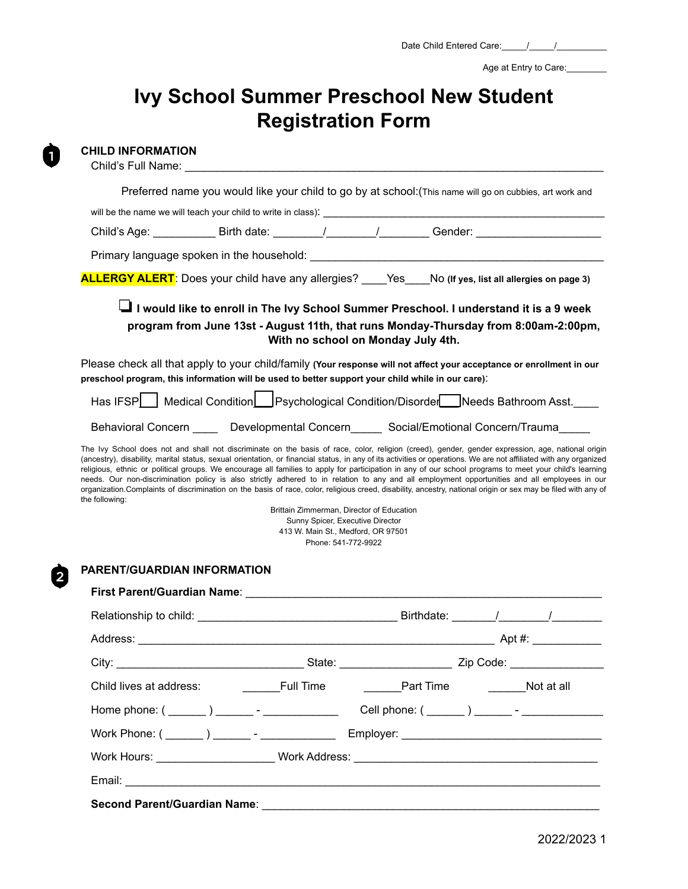Age at Entry to Care:

# **Ivy School Summer Preschool New Student Registration Form**

**CHILD INFORMATION**

n

|                                                                                                   |                                   |                                                                                                                                            | Preferred name you would like your child to go by at school: (This name will go on cubbies, art work and                                                                                                                                                                                                                                                                                                                                                                   |
|---------------------------------------------------------------------------------------------------|-----------------------------------|--------------------------------------------------------------------------------------------------------------------------------------------|----------------------------------------------------------------------------------------------------------------------------------------------------------------------------------------------------------------------------------------------------------------------------------------------------------------------------------------------------------------------------------------------------------------------------------------------------------------------------|
|                                                                                                   |                                   |                                                                                                                                            |                                                                                                                                                                                                                                                                                                                                                                                                                                                                            |
|                                                                                                   |                                   |                                                                                                                                            | Child's Age: ________________Birth date: _________/_________/__________Gender: __________________________                                                                                                                                                                                                                                                                                                                                                                  |
|                                                                                                   |                                   |                                                                                                                                            |                                                                                                                                                                                                                                                                                                                                                                                                                                                                            |
|                                                                                                   |                                   |                                                                                                                                            | <b>ALLERGY ALERT</b> : Does your child have any allergies? _____Yes No (If yes, list all allergies on page 3)                                                                                                                                                                                                                                                                                                                                                              |
|                                                                                                   |                                   | With no school on Monday July 4th.                                                                                                         | Lattive to enroll in The Ivy School Summer Preschool. I understand it is a 9 week<br>program from June 13st - August 11th, that runs Monday-Thursday from 8:00am-2:00pm,                                                                                                                                                                                                                                                                                                   |
| preschool program, this information will be used to better support your child while in our care). |                                   |                                                                                                                                            | Please check all that apply to your child/family (Your response will not affect your acceptance or enrollment in our                                                                                                                                                                                                                                                                                                                                                       |
|                                                                                                   |                                   |                                                                                                                                            | Has IFSP Medical Condition Psychological Condition/Disorder Needs Bathroom Asst.                                                                                                                                                                                                                                                                                                                                                                                           |
|                                                                                                   |                                   |                                                                                                                                            | Behavioral Concern _____ Developmental Concern_____ Social/Emotional Concern/Trauma_____                                                                                                                                                                                                                                                                                                                                                                                   |
| the following:                                                                                    |                                   | Brittain Zimmerman, Director of Education<br>Sunny Spicer, Executive Director<br>413 W. Main St., Medford, OR 97501<br>Phone: 541-772-9922 | religious, ethnic or political groups. We encourage all families to apply for participation in any of our school programs to meet your child's learning<br>needs. Our non-discrimination policy is also strictly adhered to in relation to any and all employment opportunities and all employees in our<br>organization. Complaints of discrimination on the basis of race, color, religious creed, disability, ancestry, national origin or sex may be filed with any of |
|                                                                                                   |                                   |                                                                                                                                            |                                                                                                                                                                                                                                                                                                                                                                                                                                                                            |
| PARENT/GUARDIAN INFORMATION                                                                       |                                   |                                                                                                                                            |                                                                                                                                                                                                                                                                                                                                                                                                                                                                            |
|                                                                                                   |                                   |                                                                                                                                            |                                                                                                                                                                                                                                                                                                                                                                                                                                                                            |
|                                                                                                   |                                   |                                                                                                                                            |                                                                                                                                                                                                                                                                                                                                                                                                                                                                            |
|                                                                                                   |                                   |                                                                                                                                            |                                                                                                                                                                                                                                                                                                                                                                                                                                                                            |
|                                                                                                   |                                   |                                                                                                                                            |                                                                                                                                                                                                                                                                                                                                                                                                                                                                            |
|                                                                                                   | Child lives at address: Full Time |                                                                                                                                            | Part Time Not at all                                                                                                                                                                                                                                                                                                                                                                                                                                                       |
|                                                                                                   |                                   |                                                                                                                                            |                                                                                                                                                                                                                                                                                                                                                                                                                                                                            |
|                                                                                                   |                                   |                                                                                                                                            |                                                                                                                                                                                                                                                                                                                                                                                                                                                                            |
|                                                                                                   |                                   |                                                                                                                                            | Work Hours: ______________________Work Address: ________________________________                                                                                                                                                                                                                                                                                                                                                                                           |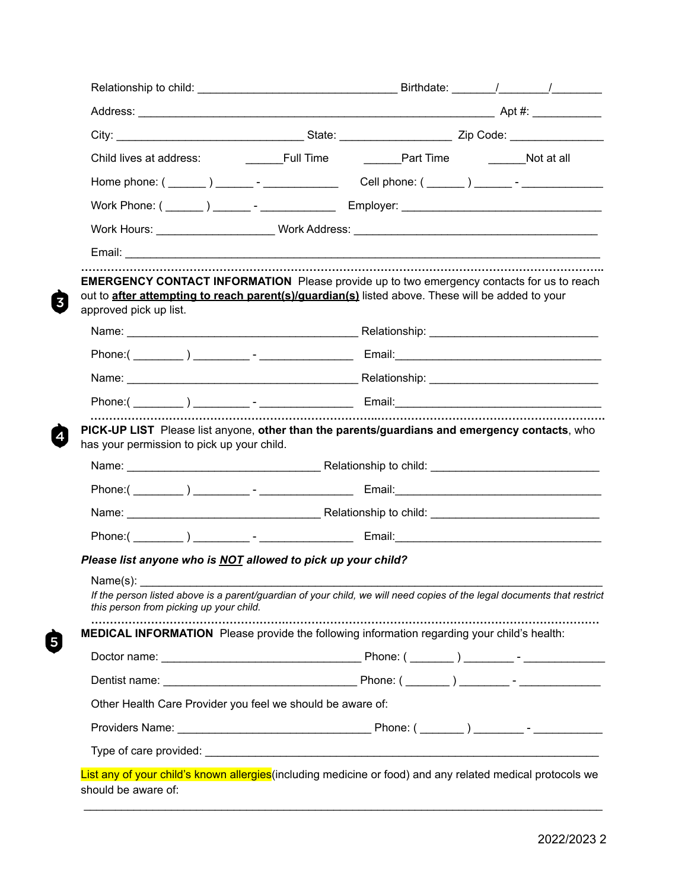|                        | Work Hours: _______________________Work Address: _______________________________                                                                                                                     |  |
|------------------------|------------------------------------------------------------------------------------------------------------------------------------------------------------------------------------------------------|--|
|                        |                                                                                                                                                                                                      |  |
| approved pick up list. | <b>EMERGENCY CONTACT INFORMATION</b> Please provide up to two emergency contacts for us to reach<br>out to after attempting to reach parent(s)/guardian(s) listed above. These will be added to your |  |
|                        |                                                                                                                                                                                                      |  |
|                        |                                                                                                                                                                                                      |  |
|                        |                                                                                                                                                                                                      |  |
|                        |                                                                                                                                                                                                      |  |
|                        | PICK-UP LIST Please list anyone, other than the parents/guardians and emergency contacts, who                                                                                                        |  |
|                        | has your permission to pick up your child.                                                                                                                                                           |  |
|                        |                                                                                                                                                                                                      |  |
|                        |                                                                                                                                                                                                      |  |
|                        |                                                                                                                                                                                                      |  |
|                        | Please list anyone who is NOT allowed to pick up your child?                                                                                                                                         |  |
| Name(s):               |                                                                                                                                                                                                      |  |
|                        | If the person listed above is a parent/guardian of your child, we will need copies of the legal documents that restrict<br>this person from picking up your child.                                   |  |
|                        | <b>MEDICAL INFORMATION</b> Please provide the following information regarding your child's health:                                                                                                   |  |
|                        |                                                                                                                                                                                                      |  |
|                        |                                                                                                                                                                                                      |  |
|                        | Other Health Care Provider you feel we should be aware of:                                                                                                                                           |  |
|                        |                                                                                                                                                                                                      |  |

 $\ddot{\bm{\Theta}}$ 

 $\mathcal{L}_\mathcal{L}$  , and the contribution of the contribution of the contribution of the contribution of the contribution of the contribution of the contribution of the contribution of the contribution of the contribution of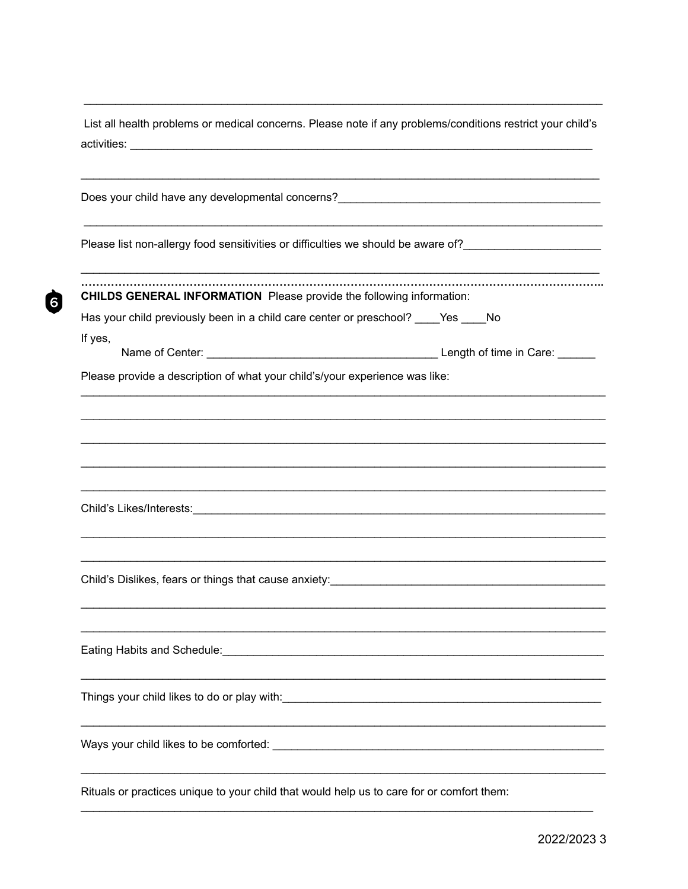| List all health problems or medical concerns. Please note if any problems/conditions restrict your child's                                         |  |
|----------------------------------------------------------------------------------------------------------------------------------------------------|--|
|                                                                                                                                                    |  |
| Please list non-allergy food sensitivities or difficulties we should be aware of?_________________________                                         |  |
| <b>CHILDS GENERAL INFORMATION</b> Please provide the following information:                                                                        |  |
| Has your child previously been in a child care center or preschool? ____ Yes ____ No                                                               |  |
| If yes,                                                                                                                                            |  |
| Please provide a description of what your child's/your experience was like:                                                                        |  |
|                                                                                                                                                    |  |
| Child's Dislikes, fears or things that cause anxiety: <b>Child's Child's Dislikes, fears or things</b> that cause anxiety:                         |  |
| Eating Habits and Schedule:<br><u> 1989 - Johann Barbara, martxa alemaniar argumento este alemaniar alemaniar alemaniar alemaniar alemaniar al</u> |  |
|                                                                                                                                                    |  |
|                                                                                                                                                    |  |
| Rituals or practices unique to your child that would help us to care for or comfort them:                                                          |  |

 $\dot{a}$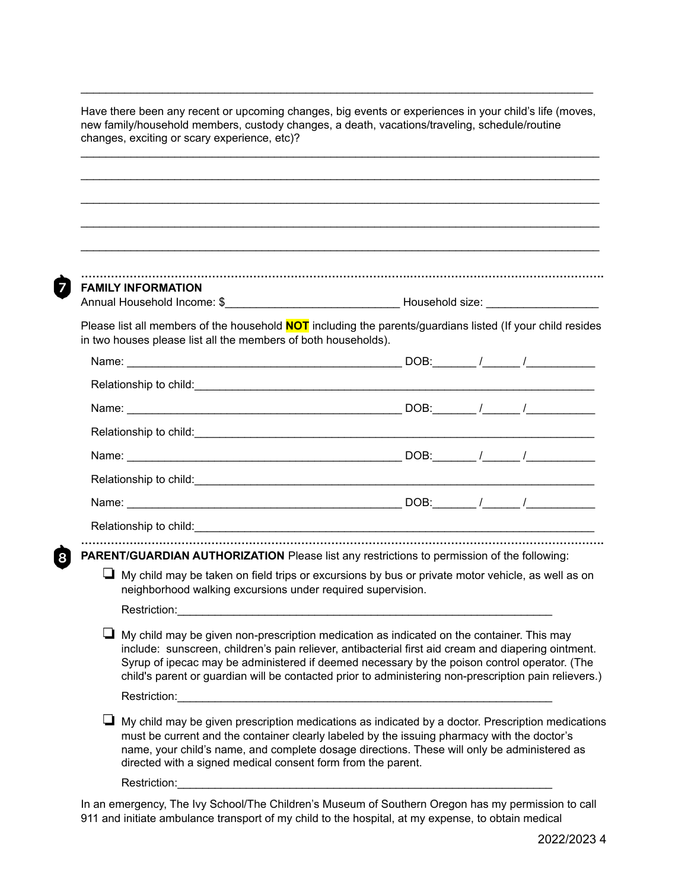| <b>FAMILY INFORMATION</b>                                                                                                                                                                                                                                                                                                                                                                                        |  |  |
|------------------------------------------------------------------------------------------------------------------------------------------------------------------------------------------------------------------------------------------------------------------------------------------------------------------------------------------------------------------------------------------------------------------|--|--|
| Please list all members of the household <b>NOT</b> including the parents/guardians listed (If your child resides                                                                                                                                                                                                                                                                                                |  |  |
| in two houses please list all the members of both households).                                                                                                                                                                                                                                                                                                                                                   |  |  |
|                                                                                                                                                                                                                                                                                                                                                                                                                  |  |  |
|                                                                                                                                                                                                                                                                                                                                                                                                                  |  |  |
|                                                                                                                                                                                                                                                                                                                                                                                                                  |  |  |
|                                                                                                                                                                                                                                                                                                                                                                                                                  |  |  |
|                                                                                                                                                                                                                                                                                                                                                                                                                  |  |  |
|                                                                                                                                                                                                                                                                                                                                                                                                                  |  |  |
|                                                                                                                                                                                                                                                                                                                                                                                                                  |  |  |
|                                                                                                                                                                                                                                                                                                                                                                                                                  |  |  |
|                                                                                                                                                                                                                                                                                                                                                                                                                  |  |  |
| PARENT/GUARDIAN AUTHORIZATION Please list any restrictions to permission of the following:                                                                                                                                                                                                                                                                                                                       |  |  |
| $\Box$ My child may be taken on field trips or excursions by bus or private motor vehicle, as well as on<br>neighborhood walking excursions under required supervision.                                                                                                                                                                                                                                          |  |  |
|                                                                                                                                                                                                                                                                                                                                                                                                                  |  |  |
| $\Box$ My child may be given non-prescription medication as indicated on the container. This may<br>include: sunscreen, children's pain reliever, antibacterial first aid cream and diapering ointment.<br>Syrup of ipecac may be administered if deemed necessary by the poison control operator. (The<br>child's parent or guardian will be contacted prior to administering non-prescription pain relievers.) |  |  |
|                                                                                                                                                                                                                                                                                                                                                                                                                  |  |  |
| $\Box$ My child may be given prescription medications as indicated by a doctor. Prescription medications<br>must be current and the container clearly labeled by the issuing pharmacy with the doctor's<br>name, your child's name, and complete dosage directions. These will only be administered as                                                                                                           |  |  |

 $\mathcal{L}_\text{max}$  , and the set of the set of the set of the set of the set of the set of the set of the set of the set of the set of the set of the set of the set of the set of the set of the set of the set of the set of the

In an emergency, The Ivy School/The Children's Museum of Southern Oregon has my permission to call 911 and initiate ambulance transport of my child to the hospital, at my expense, to obtain medical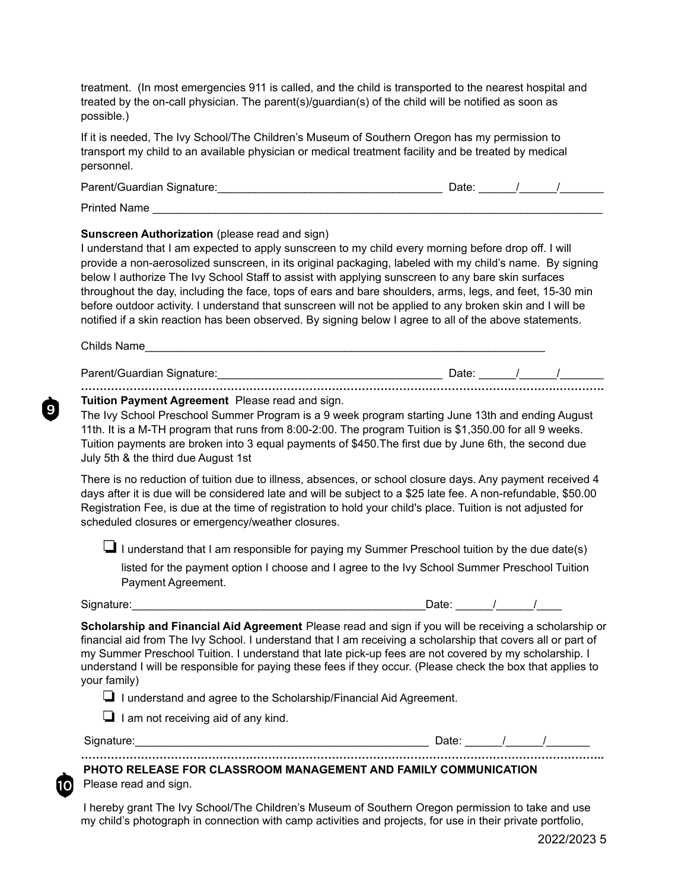treatment. (In most emergencies 911 is called, and the child is transported to the nearest hospital and treated by the on-call physician. The parent(s)/guardian(s) of the child will be notified as soon as possible.)

If it is needed, The Ivy School/The Children's Museum of Southern Oregon has my permission to transport my child to an available physician or medical treatment facility and be treated by medical personnel.

| Parent/Guardian Signature: | )ate: |  |  |
|----------------------------|-------|--|--|
|                            |       |  |  |

Printed Name

### **Sunscreen Authorization** (please read and sign)

I understand that I am expected to apply sunscreen to my child every morning before drop off. I will provide a non-aerosolized sunscreen, in its original packaging, labeled with my child's name. By signing below I authorize The Ivy School Staff to assist with applying sunscreen to any bare skin surfaces throughout the day, including the face, tops of ears and bare shoulders, arms, legs, and feet, 15-30 min before outdoor activity. I understand that sunscreen will not be applied to any broken skin and I will be notified if a skin reaction has been observed. By signing below I agree to all of the above statements.

Childs Name

Parent/Guardian Signature:\_\_\_\_\_\_\_\_\_\_\_\_\_\_\_\_\_\_\_\_\_\_\_\_\_\_\_\_\_\_\_\_\_\_\_\_ Date: \_\_\_\_\_\_/\_\_\_\_\_\_/\_\_\_\_\_\_\_ **……………………………………………………………………………………………………………….………….**

### **Tuition Payment Agreement** Please read and sign.

The Ivy School Preschool Summer Program is a 9 week program starting June 13th and ending August 11th. It is a M-TH program that runs from 8:00-2:00. The program Tuition is \$1,350.00 for all 9 weeks. Tuition payments are broken into 3 equal payments of \$450.The first due by June 6th, the second due July 5th & the third due August 1st

There is no reduction of tuition due to illness, absences, or school closure days. Any payment received 4 days after it is due will be considered late and will be subject to a \$25 late fee. A non-refundable, \$50.00 Registration Fee, is due at the time of registration to hold your child's place. Tuition is not adjusted for scheduled closures or emergency/weather closures.

❏I understand that I am responsible for paying my Summer Preschool tuition by the due date(s)

listed for the payment option I choose and I agree to the Ivy School Summer Preschool Tuition Payment Agreement.

Signature:\_\_\_\_\_\_\_\_\_\_\_\_\_\_\_\_\_\_\_\_\_\_\_\_\_\_\_\_\_\_\_\_\_\_\_\_\_\_\_\_\_\_\_\_\_\_\_Date: \_\_\_\_\_\_/\_\_\_\_\_\_/\_\_\_\_

9

| Jate: |  |  |
|-------|--|--|
|       |  |  |

**Scholarship and Financial Aid Agreement** Please read and sign if you will be receiving a scholarship or financial aid from The Ivy School. I understand that I am receiving a scholarship that covers all or part of my Summer Preschool Tuition. I understand that late pick-up fees are not covered by my scholarship. I understand I will be responsible for paying these fees if they occur. (Please check the box that applies to your family)

❏ I understand and agree to the Scholarship/Financial Aid Agreement.

❏ I am not receiving aid of any kind.

10 I

Signature:\_\_\_\_\_\_\_\_\_\_\_\_\_\_\_\_\_\_\_\_\_\_\_\_\_\_\_\_\_\_\_\_\_\_\_\_\_\_\_\_\_\_\_\_\_\_\_ Date: \_\_\_\_\_\_/\_\_\_\_\_\_/\_\_\_\_\_\_\_

## **PHOTO RELEASE FOR CLASSROOM MANAGEMENT AND FAMILY COMMUNICATION** Please read and sign.

I hereby grant The Ivy School/The Children's Museum of Southern Oregon permission to take and use my child's photograph in connection with camp activities and projects, for use in their private portfolio,

**…………………………………………………………………………………………………………………………..**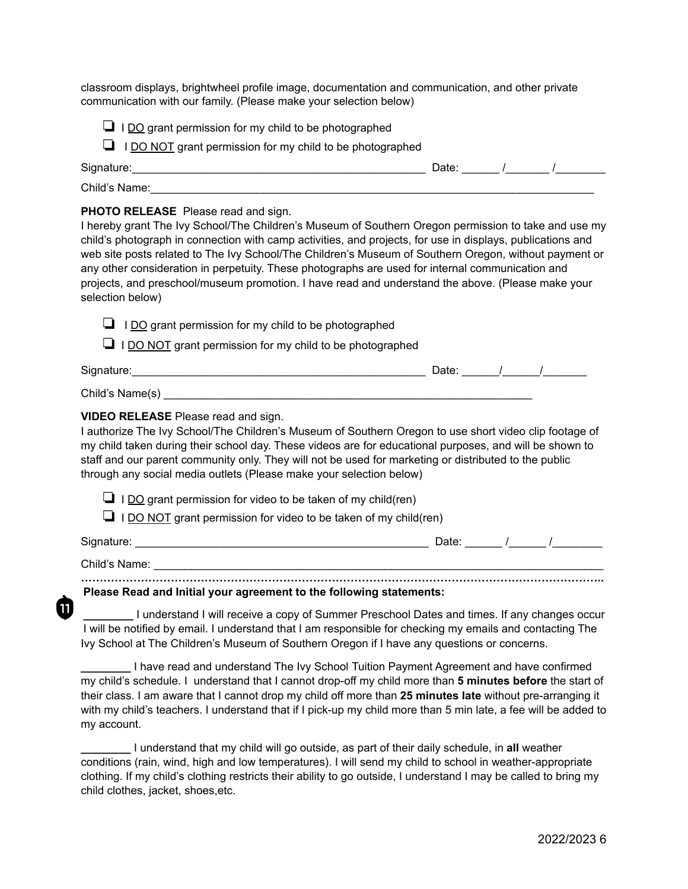classroom displays, brightwheel profile image, documentation and communication, and other private communication with our family. (Please make your selection below)

- $\Box$  I DO grant permission for my child to be photographed
- ❏ I DO NOT grant permission for my child to be photographed

| Signature:    | Date. |  |  |
|---------------|-------|--|--|
| Child's Name: |       |  |  |

#### **PHOTO RELEASE** Please read and sign.

 $11$ 

I hereby grant The Ivy School/The Children's Museum of Southern Oregon permission to take and use my child's photograph in connection with camp activities, and projects, for use in displays, publications and web site posts related to The Ivy School/The Children's Museum of Southern Oregon, without payment or any other consideration in perpetuity. These photographs are used for internal communication and projects, and preschool/museum promotion. I have read and understand the above. (Please make your selection below)

| $\Box$ I DO grant permission for my child to be photographed<br>$\Box$ I DO NOT grant permission for my child to be photographed                                                                                                                                                                                                                                                                                                         |                       |  |
|------------------------------------------------------------------------------------------------------------------------------------------------------------------------------------------------------------------------------------------------------------------------------------------------------------------------------------------------------------------------------------------------------------------------------------------|-----------------------|--|
| Signature:                                                                                                                                                                                                                                                                                                                                                                                                                               | Date: $\frac{1}{1}$ / |  |
| Child's Name(s)                                                                                                                                                                                                                                                                                                                                                                                                                          |                       |  |
| VIDEO RELEASE Please read and sign.<br>I authorize The Ivy School/The Children's Museum of Southern Oregon to use short video clip footage of<br>my child taken during their school day. These videos are for educational purposes, and will be shown to<br>staff and our parent community only. They will not be used for marketing or distributed to the public<br>through any social media outlets (Please make your selection below) |                       |  |
|                                                                                                                                                                                                                                                                                                                                                                                                                                          |                       |  |

 $\Box$  I <u>DO</u> grant permission for video to be taken of my child(ren)

 $\Box$  I DO NOT grant permission for video to be taken of my child(ren)

| Signature:    | Date: |  |  |
|---------------|-------|--|--|
| Child's Name: |       |  |  |

**Please Read and Initial your agreement to the following statements:**

**\_\_\_\_\_\_\_\_** I understand I will receive a copy of Summer Preschool Dates and times. If any changes occur I will be notified by email. I understand that I am responsible for checking my emails and contacting The Ivy School at The Children's Museum of Southern Oregon if I have any questions or concerns.

**\_\_\_\_\_\_\_\_** I have read and understand The Ivy School Tuition Payment Agreement and have confirmed my child's schedule. I understand that I cannot drop-off my child more than **5 minutes before** the start of their class. I am aware that I cannot drop my child off more than **25 minutes late** without pre-arranging it with my child's teachers. I understand that if I pick-up my child more than 5 min late, a fee will be added to my account.

**\_\_\_\_\_\_\_\_** I understand that my child will go outside, as part of their daily schedule, in **all** weather conditions (rain, wind, high and low temperatures). I will send my child to school in weather-appropriate clothing. If my child's clothing restricts their ability to go outside, I understand I may be called to bring my child clothes, jacket, shoes,etc.